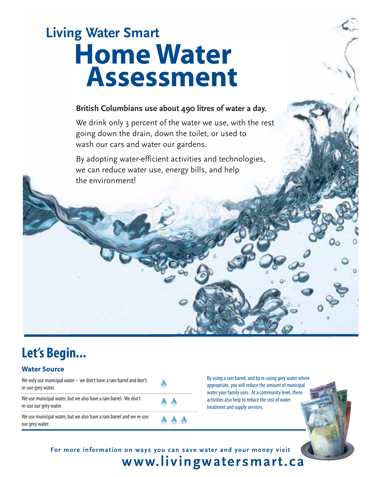# **Living Water Smart Home Water Assessment**

### **British Columbians use about 490 litres of water a day.**

We drink only 3 percent of the water we use, with the rest going down the drain, down the toilet, or used to wash our cars and water our gardens.

By adopting water-efficient activities and technologies, we can reduce water use, energy bills, and help the environment!

### **Let's Begin.**<br> **Water Source**

We only use municipal water – we don't have a rain barrel and don't re-use grey water.

We use municipal water, but we also have a rain barrel. We don't re-use our grey water.

We use municipal water, but we also have a rain barrel and we re-use our grey water.

By using a rain barrel, and by re-using grey water where appropriate, you will reduce the amount of municipal water your family uses. At a community level, these activities also help to reduce the cost of water treatment and supply services.

**For more information on ways you can save water and your money visit m**

 $\bullet$   $\bullet$ 

**www.livingwatersmart.ca**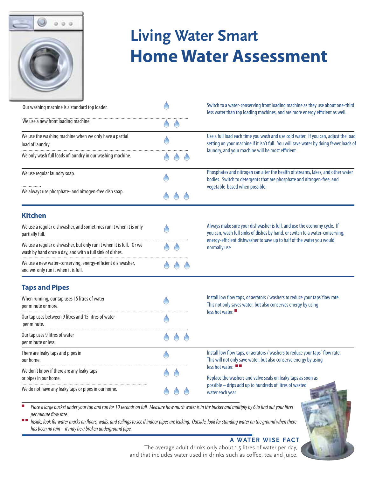

# **Living Water Smart Home Water Assessment**

| Our washing machine is a standard top loader.                                                                                   |  |  |  | Switch to a water-conserving front loading machine as they use about one-third<br>less water than top loading machines, and are more energy efficient as well.                                                                                                                                                        |  |  |
|---------------------------------------------------------------------------------------------------------------------------------|--|--|--|-----------------------------------------------------------------------------------------------------------------------------------------------------------------------------------------------------------------------------------------------------------------------------------------------------------------------|--|--|
| We use a new front loading machine.                                                                                             |  |  |  |                                                                                                                                                                                                                                                                                                                       |  |  |
| We use the washing machine when we only have a partial<br>load of laundry.                                                      |  |  |  | Use a full load each time you wash and use cold water. If you can, adjust the load<br>setting on your machine if it isn't full. You will save water by doing fewer loads of                                                                                                                                           |  |  |
| We only wash full loads of laundry in our washing machine.                                                                      |  |  |  | laundry, and your machine will be most efficient.                                                                                                                                                                                                                                                                     |  |  |
| We use regular laundry soap.                                                                                                    |  |  |  | Phosphates and nitrogen can alter the health of streams, lakes, and other water<br>bodies. Switch to detergents that are phosphate and nitrogen-free, and<br>vegetable-based when possible.                                                                                                                           |  |  |
| We always use phosphate- and nitrogen-free dish soap.                                                                           |  |  |  |                                                                                                                                                                                                                                                                                                                       |  |  |
| <b>Kitchen</b>                                                                                                                  |  |  |  |                                                                                                                                                                                                                                                                                                                       |  |  |
| We use a regular dishwasher, and sometimes run it when it is only<br>partially full.                                            |  |  |  | Always make sure your dishwasher is full, and use the economy cycle. If<br>you can, wash full sinks of dishes by hand, or switch to a water-conserving,<br>energy-efficient dishwasher to save up to half of the water you would<br>normally use.                                                                     |  |  |
| We use a regular dishwasher, but only run it when it is full. Or we<br>wash by hand once a day, and with a full sink of dishes. |  |  |  |                                                                                                                                                                                                                                                                                                                       |  |  |
| We use a new water-conserving, energy-efficient dishwasher,<br>and we only run it when it is full.                              |  |  |  |                                                                                                                                                                                                                                                                                                                       |  |  |
| <b>Taps and Pipes</b>                                                                                                           |  |  |  |                                                                                                                                                                                                                                                                                                                       |  |  |
| When running, our tap uses 15 litres of water<br>per minute or more.                                                            |  |  |  | Install low flow taps, or aerators / washers to reduce your taps' flow rate.<br>This not only saves water, but also conserves energy by using                                                                                                                                                                         |  |  |
| Our tap uses between 9 litres and 15 litres of water<br>per minute.                                                             |  |  |  | less hot water.                                                                                                                                                                                                                                                                                                       |  |  |
| Our tap uses 9 litres of water<br>per minute or less.                                                                           |  |  |  |                                                                                                                                                                                                                                                                                                                       |  |  |
| There are leaky taps and pipes in<br>our home.                                                                                  |  |  |  | Install low flow taps, or aerators / washers to reduce your taps' flow rate.<br>This will not only save water, but also conserve energy by using<br>less hot water. ■■<br>Replace the washers and valve seals on leaky taps as soon as<br>possible - drips add up to hundreds of litres of wasted<br>water each year. |  |  |
| We don't know if there are any leaky taps<br>or pipes in our home.                                                              |  |  |  |                                                                                                                                                                                                                                                                                                                       |  |  |
| We do not have any leaky taps or pipes in our home.                                                                             |  |  |  |                                                                                                                                                                                                                                                                                                                       |  |  |

Place a large bucket under your tap and run for 10 seconds on full. Measure how much water is in the bucket and multiply by 6 to find out your litres per minute flow rate.

Inside, look for water marks on floors, walls, and ceilings to see if indoor pipes are leaking. Outside, look for standing water on the ground when there has been no rain – it may be a broken underground pipe.

#### **A WATER WISE FACT**

The average adult drinks only about 1.5 litres of water per day, and that includes water used in drinks such as coffee, tea and juice.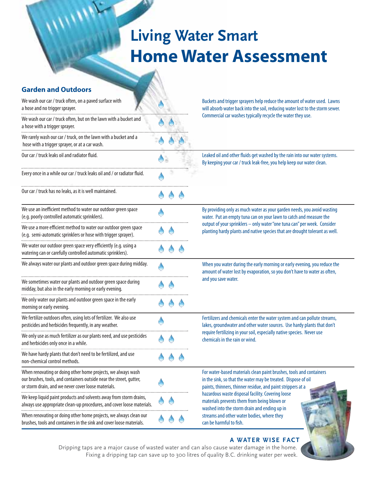## **Living Water Smart Home Water Assessment**

 $\mathbf{w}$ 

| <b>Garden and Outdoors</b>                                                                                                                                                                 |                                                                                                                                                           |  |  |                                                                                                                                                                                                     |  |  |
|--------------------------------------------------------------------------------------------------------------------------------------------------------------------------------------------|-----------------------------------------------------------------------------------------------------------------------------------------------------------|--|--|-----------------------------------------------------------------------------------------------------------------------------------------------------------------------------------------------------|--|--|
| We wash our car / truck often, on a paved surface with<br>a hose and no trigger sprayer.                                                                                                   | Buckets and trigger sprayers help reduce the amount of water used. Lawns<br>will absorb water back into the soil, reducing water lost to the storm sewer. |  |  |                                                                                                                                                                                                     |  |  |
| We wash our car / truck often, but on the lawn with a bucket and<br>a hose with a trigger sprayer.                                                                                         |                                                                                                                                                           |  |  | Commercial car washes typically recycle the water they use.                                                                                                                                         |  |  |
| We rarely wash our car / truck, on the lawn with a bucket and a<br>hose with a trigger sprayer, or at a car wash.                                                                          |                                                                                                                                                           |  |  |                                                                                                                                                                                                     |  |  |
| Our car / truck leaks oil and radiator fluid.                                                                                                                                              |                                                                                                                                                           |  |  | Leaked oil and other fluids get washed by the rain into our water systems.<br>By keeping your car / truck leak-free, you help keep our water clean.                                                 |  |  |
| Every once in a while our car / truck leaks oil and / or radiator fluid.                                                                                                                   |                                                                                                                                                           |  |  |                                                                                                                                                                                                     |  |  |
| Our car / truck has no leaks, as it is well maintained.                                                                                                                                    |                                                                                                                                                           |  |  |                                                                                                                                                                                                     |  |  |
| We use an inefficient method to water our outdoor green space<br>(e.g. poorly controlled automatic sprinklers).                                                                            |                                                                                                                                                           |  |  | By providing only as much water as your garden needs, you avoid wasting<br>water. Put an empty tuna can on your lawn to catch and measure the                                                       |  |  |
| We use a more efficient method to water our outdoor green space<br>(e.g. semi-automatic sprinklers or hose with trigger sprayer).                                                          |                                                                                                                                                           |  |  | output of your sprinklers - only water "one tuna can" per week. Consider<br>planting hardy plants and native species that are drought tolerant as well.                                             |  |  |
| We water our outdoor green space very efficiently (e.g. using a<br>watering can or carefully controlled automatic sprinklers).                                                             |                                                                                                                                                           |  |  |                                                                                                                                                                                                     |  |  |
| We always water our plants and outdoor green space during midday.                                                                                                                          |                                                                                                                                                           |  |  | When you water during the early morning or early evening, you reduce the<br>amount of water lost by evaporation, so you don't have to water as often,                                               |  |  |
| We sometimes water our plants and outdoor green space during<br>midday, but also in the early morning or early evening.                                                                    |                                                                                                                                                           |  |  | and you save water.                                                                                                                                                                                 |  |  |
| We only water our plants and outdoor green space in the early<br>morning or early evening.                                                                                                 |                                                                                                                                                           |  |  |                                                                                                                                                                                                     |  |  |
| We fertilize outdoors often, using lots of fertilizer. We also use<br>pesticides and herbicides frequently, in any weather.                                                                |                                                                                                                                                           |  |  | Fertilizers and chemicals enter the water system and can pollute streams,<br>lakes, groundwater and other water sources. Use hardy plants that don't                                                |  |  |
| We only use as much fertilizer as our plants need, and use pesticides<br>and herbicides only once in a while.<br>                                                                          |                                                                                                                                                           |  |  | require fertilizing in your soil, especially native species. Never use<br>chemicals in the rain or wind.                                                                                            |  |  |
| We have hardy plants that don't need to be fertilized, and use<br>non-chemical control methods.                                                                                            |                                                                                                                                                           |  |  |                                                                                                                                                                                                     |  |  |
| When renovating or doing other home projects, we always wash<br>our brushes, tools, and containers outside near the street, gutter,<br>or storm drain, and we never cover loose materials. |                                                                                                                                                           |  |  | For water-based materials clean paint brushes, tools and containers<br>in the sink, so that the water may be treated. Dispose of oil<br>paints, thinners, thinner residue, and paint strippers at a |  |  |
| We keep liquid paint products and solvents away from storm drains,<br>always use appropriate clean-up procedures, and cover loose materials.                                               |                                                                                                                                                           |  |  | hazardous waste disposal facility. Covering loose<br>materials prevents them from being blown or<br>washed into the storm drain and ending up in                                                    |  |  |
| When renovating or doing other home projects, we always clean our<br>brushes, tools and containers in the sink and cover loose materials.                                                  |                                                                                                                                                           |  |  | streams and other water bodies, where they<br>can be harmful to fish.                                                                                                                               |  |  |

#### **A WATER WISE FACT**

Dripping taps are a major cause of wasted water and can also cause water damage in the home. Fixing a dripping tap can save up to 300 litres of quality B.C. drinking water per week.